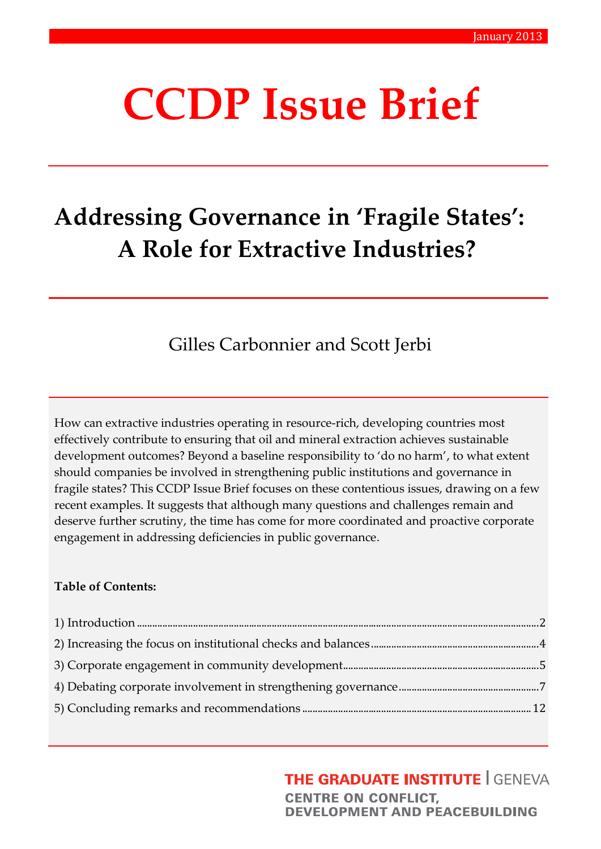# **CCDP Issue Brief**

## **Addressing Governance in 'Fragile States': A Role for Extractive Industries?**

Gilles Carbonnier and Scott Jerbi

How can extractive industries operating in resource-rich, developing countries most effectively contribute to ensuring that oil and mineral extraction achieves sustainable development outcomes? Beyond a baseline responsibility to 'do no harm', to what extent should companies be involved in strengthening public institutions and governance in fragile states? This CCDP Issue Brief focuses on these contentious issues, drawing on a few recent examples. It suggests that although many questions and challenges remain and deserve further scrutiny, the time has come for more coordinated and proactive corporate engagement in addressing deficiencies in public governance.

#### **Table of Contents:**

#### **THE GRADUATE INSTITUTE | GENEVA**

**CENTRE ON CONFLICT, DEVELOPMENT AND PEACEBUILDING**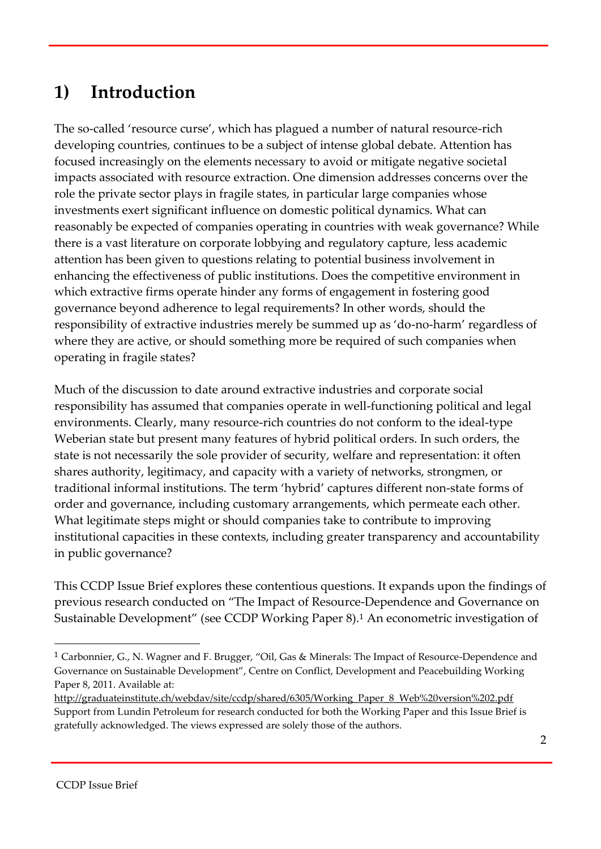#### **1) Introduction**

The so-called 'resource curse', which has plagued a number of natural resource-rich developing countries, continues to be a subject of intense global debate. Attention has focused increasingly on the elements necessary to avoid or mitigate negative societal impacts associated with resource extraction. One dimension addresses concerns over the role the private sector plays in fragile states, in particular large companies whose investments exert significant influence on domestic political dynamics. What can reasonably be expected of companies operating in countries with weak governance? While there is a vast literature on corporate lobbying and regulatory capture, less academic attention has been given to questions relating to potential business involvement in enhancing the effectiveness of public institutions. Does the competitive environment in which extractive firms operate hinder any forms of engagement in fostering good governance beyond adherence to legal requirements? In other words, should the responsibility of extractive industries merely be summed up as 'do-no-harm' regardless of where they are active, or should something more be required of such companies when operating in fragile states?

Much of the discussion to date around extractive industries and corporate social responsibility has assumed that companies operate in well-functioning political and legal environments. Clearly, many resource-rich countries do not conform to the ideal-type Weberian state but present many features of hybrid political orders. In such orders, the state is not necessarily the sole provider of security, welfare and representation: it often shares authority, legitimacy, and capacity with a variety of networks, strongmen, or traditional informal institutions. The term 'hybrid' captures different non-state forms of order and governance, including customary arrangements, which permeate each other. What legitimate steps might or should companies take to contribute to improving institutional capacities in these contexts, including greater transparency and accountability in public governance?

This CCDP Issue Brief explores these contentious questions. It expands upon the findings of previous research conducted on "The Impact of Resource-Dependence and Governance on Sustainable Development" (see CCDP Working Paper 8).<sup>1</sup> An econometric investigation of

<sup>1</sup> Carbonnier, G., N. Wagner and F. Brugger, "Oil, Gas & Minerals: The Impact of Resource-Dependence and Governance on Sustainable Development", Centre on Conflict, Development and Peacebuilding Working Paper 8, 2011. Available at:

http://graduateinstitute.ch/webdav/site/ccdp/shared/6305/Working\_Paper\_8\_Web%20version%202.pdf Support from Lundin Petroleum for research conducted for both the Working Paper and this Issue Brief is gratefully acknowledged. The views expressed are solely those of the authors.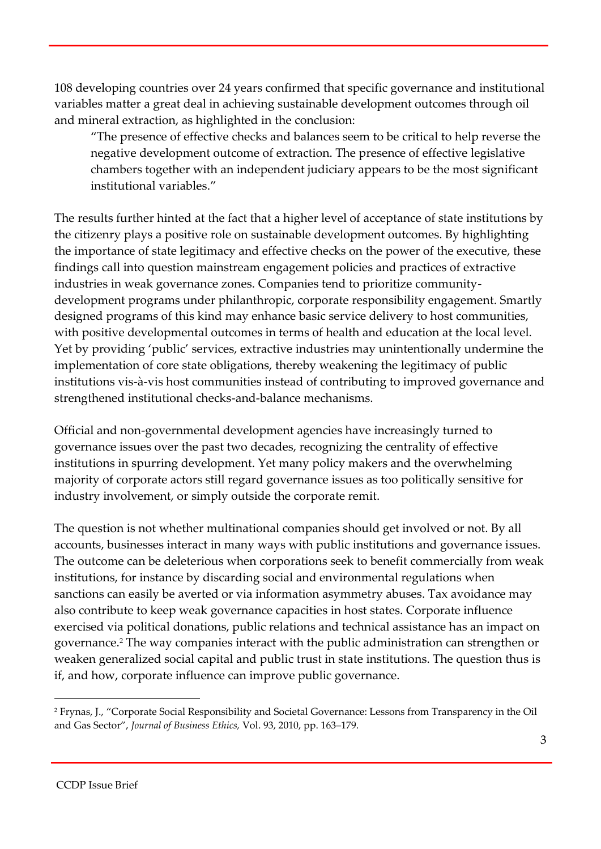108 developing countries over 24 years confirmed that specific governance and institutional variables matter a great deal in achieving sustainable development outcomes through oil and mineral extraction, as highlighted in the conclusion:

"The presence of effective checks and balances seem to be critical to help reverse the negative development outcome of extraction. The presence of effective legislative chambers together with an independent judiciary appears to be the most significant institutional variables."

The results further hinted at the fact that a higher level of acceptance of state institutions by the citizenry plays a positive role on sustainable development outcomes. By highlighting the importance of state legitimacy and effective checks on the power of the executive, these findings call into question mainstream engagement policies and practices of extractive industries in weak governance zones. Companies tend to prioritize communitydevelopment programs under philanthropic, corporate responsibility engagement. Smartly designed programs of this kind may enhance basic service delivery to host communities, with positive developmental outcomes in terms of health and education at the local level. Yet by providing 'public' services, extractive industries may unintentionally undermine the implementation of core state obligations, thereby weakening the legitimacy of public institutions vis-à-vis host communities instead of contributing to improved governance and strengthened institutional checks-and-balance mechanisms.

Official and non-governmental development agencies have increasingly turned to governance issues over the past two decades, recognizing the centrality of effective institutions in spurring development. Yet many policy makers and the overwhelming majority of corporate actors still regard governance issues as too politically sensitive for industry involvement, or simply outside the corporate remit.

The question is not whether multinational companies should get involved or not. By all accounts, businesses interact in many ways with public institutions and governance issues. The outcome can be deleterious when corporations seek to benefit commercially from weak institutions, for instance by discarding social and environmental regulations when sanctions can easily be averted or via information asymmetry abuses. Tax avoidance may also contribute to keep weak governance capacities in host states. Corporate influence exercised via political donations, public relations and technical assistance has an impact on governance.<sup>2</sup> The way companies interact with the public administration can strengthen or weaken generalized social capital and public trust in state institutions. The question thus is if, and how, corporate influence can improve public governance.

<sup>2</sup> Frynas, J., "Corporate Social Responsibility and Societal Governance: Lessons from Transparency in the Oil and Gas Sector", *Journal of Business Ethics,* Vol. 93, 2010, pp. 163–179.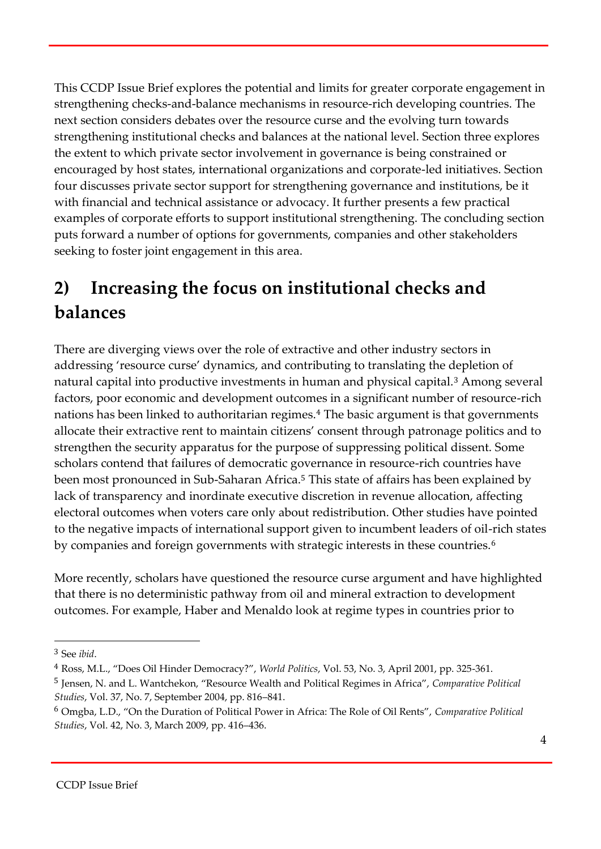This CCDP Issue Brief explores the potential and limits for greater corporate engagement in strengthening checks-and-balance mechanisms in resource-rich developing countries. The next section considers debates over the resource curse and the evolving turn towards strengthening institutional checks and balances at the national level. Section three explores the extent to which private sector involvement in governance is being constrained or encouraged by host states, international organizations and corporate-led initiatives. Section four discusses private sector support for strengthening governance and institutions, be it with financial and technical assistance or advocacy. It further presents a few practical examples of corporate efforts to support institutional strengthening. The concluding section puts forward a number of options for governments, companies and other stakeholders seeking to foster joint engagement in this area.

## **2) Increasing the focus on institutional checks and balances**

There are diverging views over the role of extractive and other industry sectors in addressing 'resource curse' dynamics, and contributing to translating the depletion of natural capital into productive investments in human and physical capital.<sup>3</sup> Among several factors, poor economic and development outcomes in a significant number of resource-rich nations has been linked to authoritarian regimes.<sup>4</sup> The basic argument is that governments allocate their extractive rent to maintain citizens' consent through patronage politics and to strengthen the security apparatus for the purpose of suppressing political dissent. Some scholars contend that failures of democratic governance in resource-rich countries have been most pronounced in Sub-Saharan Africa.<sup>5</sup> This state of affairs has been explained by lack of transparency and inordinate executive discretion in revenue allocation, affecting electoral outcomes when voters care only about redistribution. Other studies have pointed to the negative impacts of international support given to incumbent leaders of oil-rich states by companies and foreign governments with strategic interests in these countries.<sup>6</sup>

More recently, scholars have questioned the resource curse argument and have highlighted that there is no deterministic pathway from oil and mineral extraction to development outcomes. For example, Haber and Menaldo look at regime types in countries prior to

<sup>3</sup> See *ibid*.

<sup>4</sup> Ross, M.L., "Does Oil Hinder Democracy?", *World Politics*, Vol. 53, No. 3, April 2001, pp. 325-361.

<sup>5</sup> Jensen, N. and L. Wantchekon, "Resource Wealth and Political Regimes in Africa", *Comparative Political Studies*, Vol. 37, No. 7, September 2004, pp. 816–841.

<sup>6</sup> Omgba, L.D., "On the Duration of Political Power in Africa: The Role of Oil Rents", *Comparative Political Studies*, Vol. 42, No. 3, March 2009, pp. 416–436.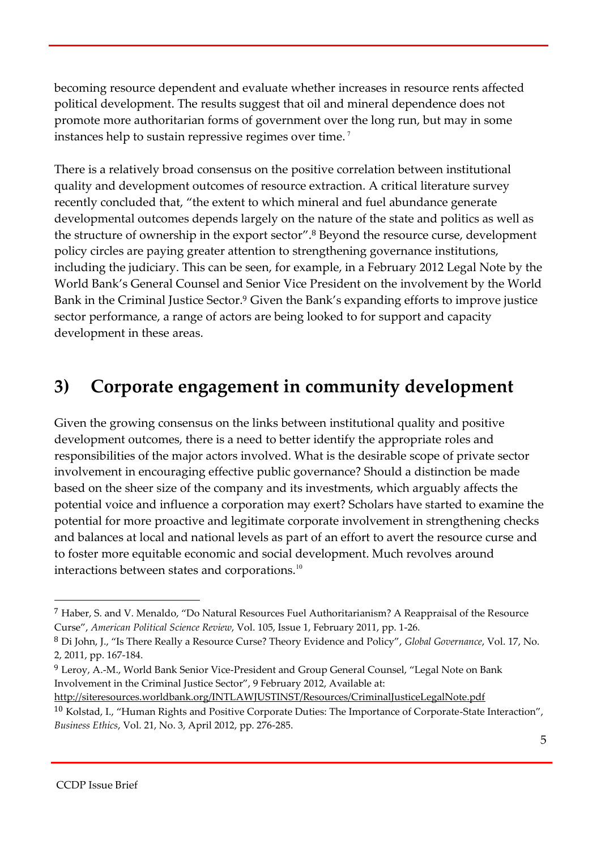becoming resource dependent and evaluate whether increases in resource rents affected political development. The results suggest that oil and mineral dependence does not promote more authoritarian forms of government over the long run, but may in some instances help to sustain repressive regimes over time. <sup>7</sup>

There is a relatively broad consensus on the positive correlation between institutional quality and development outcomes of resource extraction. A critical literature survey recently concluded that, "the extent to which mineral and fuel abundance generate developmental outcomes depends largely on the nature of the state and politics as well as the structure of ownership in the export sector". <sup>8</sup> Beyond the resource curse, development policy circles are paying greater attention to strengthening governance institutions, including the judiciary. This can be seen, for example, in a February 2012 Legal Note by the World Bank's General Counsel and Senior Vice President on the involvement by the World Bank in the Criminal Justice Sector.<sup>9</sup> Given the Bank's expanding efforts to improve justice sector performance, a range of actors are being looked to for support and capacity development in these areas.

#### **3) Corporate engagement in community development**

Given the growing consensus on the links between institutional quality and positive development outcomes, there is a need to better identify the appropriate roles and responsibilities of the major actors involved. What is the desirable scope of private sector involvement in encouraging effective public governance? Should a distinction be made based on the sheer size of the company and its investments, which arguably affects the potential voice and influence a corporation may exert? Scholars have started to examine the potential for more proactive and legitimate corporate involvement in strengthening checks and balances at local and national levels as part of an effort to avert the resource curse and to foster more equitable economic and social development. Much revolves around interactions between states and corporations.<sup>10</sup>

http://siteresources.worldbank.org/INTLAWJUSTINST/Resources/CriminalJusticeLegalNote.pdf

<sup>7</sup> Haber, S. and V. Menaldo, "Do Natural Resources Fuel Authoritarianism? A Reappraisal of the Resource Curse", *American Political Science Review*, Vol. 105, Issue 1, February 2011, pp. 1-26.

<sup>8</sup> Di John, J., "Is There Really a Resource Curse? Theory Evidence and Policy", *Global Governance*, Vol. 17, No. 2, 2011, pp. 167-184.

<sup>&</sup>lt;sup>9</sup> Leroy, A.-M., World Bank Senior Vice-President and Group General Counsel, "Legal Note on Bank Involvement in the Criminal Justice Sector", 9 February 2012, Available at:

<sup>10</sup> Kolstad, I., "Human Rights and Positive Corporate Duties: The Importance of Corporate-State Interaction", *Business Ethics*, Vol. 21, No. 3, April 2012, pp. 276-285.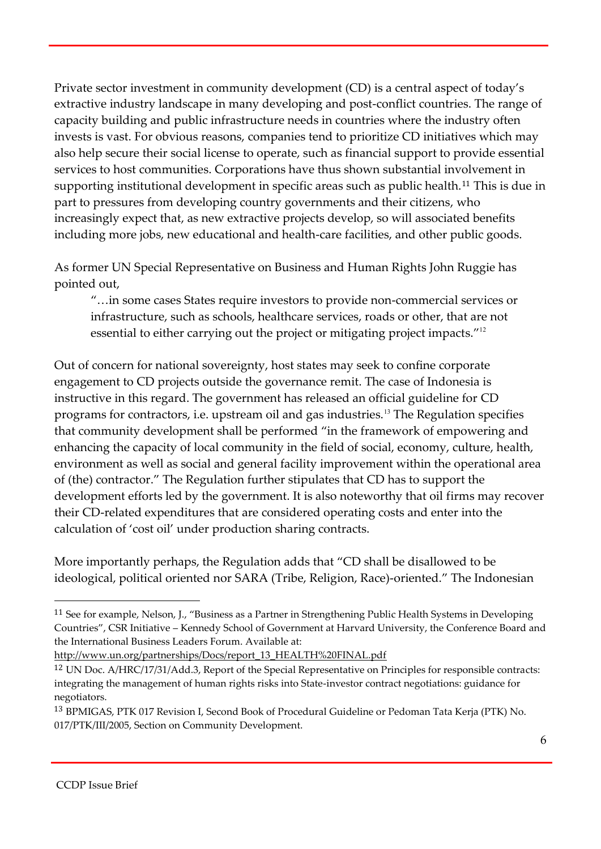Private sector investment in community development (CD) is a central aspect of today's extractive industry landscape in many developing and post-conflict countries. The range of capacity building and public infrastructure needs in countries where the industry often invests is vast. For obvious reasons, companies tend to prioritize CD initiatives which may also help secure their social license to operate, such as financial support to provide essential services to host communities. Corporations have thus shown substantial involvement in supporting institutional development in specific areas such as public health.<sup>11</sup> This is due in part to pressures from developing country governments and their citizens, who increasingly expect that, as new extractive projects develop, so will associated benefits including more jobs, new educational and health-care facilities, and other public goods.

As former UN Special Representative on Business and Human Rights John Ruggie has pointed out,

"…in some cases States require investors to provide non-commercial services or infrastructure, such as schools, healthcare services, roads or other, that are not essential to either carrying out the project or mitigating project impacts."<sup>12</sup>

Out of concern for national sovereignty, host states may seek to confine corporate engagement to CD projects outside the governance remit. The case of Indonesia is instructive in this regard. The government has released an official guideline for CD programs for contractors, i.e. upstream oil and gas industries.<sup>13</sup> The Regulation specifies that community development shall be performed "in the framework of empowering and enhancing the capacity of local community in the field of social, economy, culture, health, environment as well as social and general facility improvement within the operational area of (the) contractor." The Regulation further stipulates that CD has to support the development efforts led by the government. It is also noteworthy that oil firms may recover their CD-related expenditures that are considered operating costs and enter into the calculation of 'cost oil' under production sharing contracts.

More importantly perhaps, the Regulation adds that "CD shall be disallowed to be ideological, political oriented nor SARA (Tribe, Religion, Race)-oriented." The Indonesian

<sup>11</sup> See for example, Nelson, J., "Business as a Partner in Strengthening Public Health Systems in Developing Countries", CSR Initiative – Kennedy School of Government at Harvard University, the Conference Board and the International Business Leaders Forum. Available at:

http://www.un.org/partnerships/Docs/report\_13\_HEALTH%20FINAL.pdf

<sup>12</sup> UN Doc. A/HRC/17/31/Add.3, Report of the Special Representative on Principles for responsible contracts: integrating the management of human rights risks into State-investor contract negotiations: guidance for negotiators.

<sup>13</sup> BPMIGAS, PTK 017 Revision I, Second Book of Procedural Guideline or Pedoman Tata Kerja (PTK) No. 017/PTK/III/2005, Section on Community Development.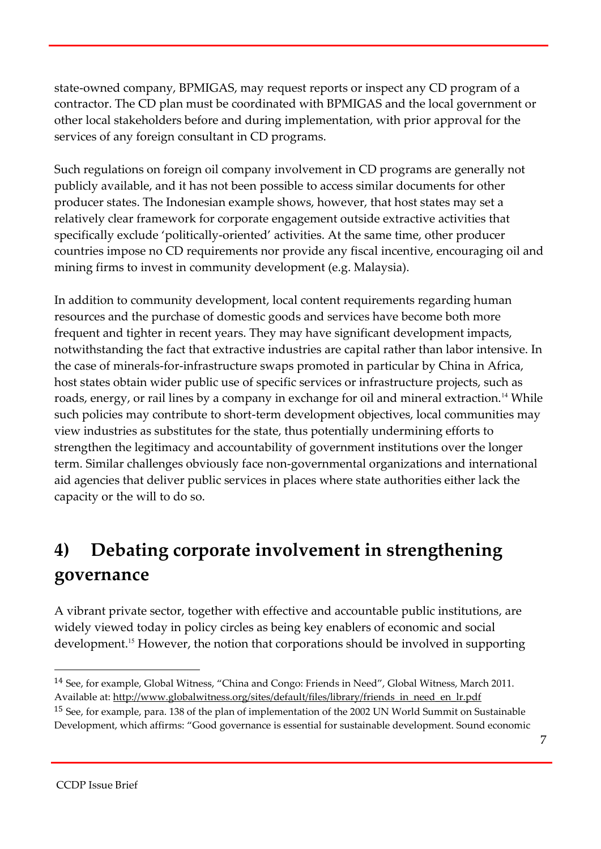state-owned company, BPMIGAS, may request reports or inspect any CD program of a contractor. The CD plan must be coordinated with BPMIGAS and the local government or other local stakeholders before and during implementation, with prior approval for the services of any foreign consultant in CD programs.

Such regulations on foreign oil company involvement in CD programs are generally not publicly available, and it has not been possible to access similar documents for other producer states. The Indonesian example shows, however, that host states may set a relatively clear framework for corporate engagement outside extractive activities that specifically exclude 'politically-oriented' activities. At the same time, other producer countries impose no CD requirements nor provide any fiscal incentive, encouraging oil and mining firms to invest in community development (e.g. Malaysia).

In addition to community development, local content requirements regarding human resources and the purchase of domestic goods and services have become both more frequent and tighter in recent years. They may have significant development impacts, notwithstanding the fact that extractive industries are capital rather than labor intensive. In the case of minerals-for-infrastructure swaps promoted in particular by China in Africa, host states obtain wider public use of specific services or infrastructure projects, such as roads, energy, or rail lines by a company in exchange for oil and mineral extraction.<sup>14</sup> While such policies may contribute to short-term development objectives, local communities may view industries as substitutes for the state, thus potentially undermining efforts to strengthen the legitimacy and accountability of government institutions over the longer term. Similar challenges obviously face non-governmental organizations and international aid agencies that deliver public services in places where state authorities either lack the capacity or the will to do so.

## **4) Debating corporate involvement in strengthening governance**

A vibrant private sector, together with effective and accountable public institutions, are widely viewed today in policy circles as being key enablers of economic and social development.<sup>15</sup> However, the notion that corporations should be involved in supporting

<sup>14</sup> See, for example, Global Witness, "China and Congo: Friends in Need", Global Witness, March 2011. Available at: http://www.globalwitness.org/sites/default/files/library/friends\_in\_need\_en\_lr.pdf

<sup>15</sup> See, for example, para. 138 of the plan of implementation of the 2002 UN World Summit on Sustainable Development, which affirms: "Good governance is essential for sustainable development. Sound economic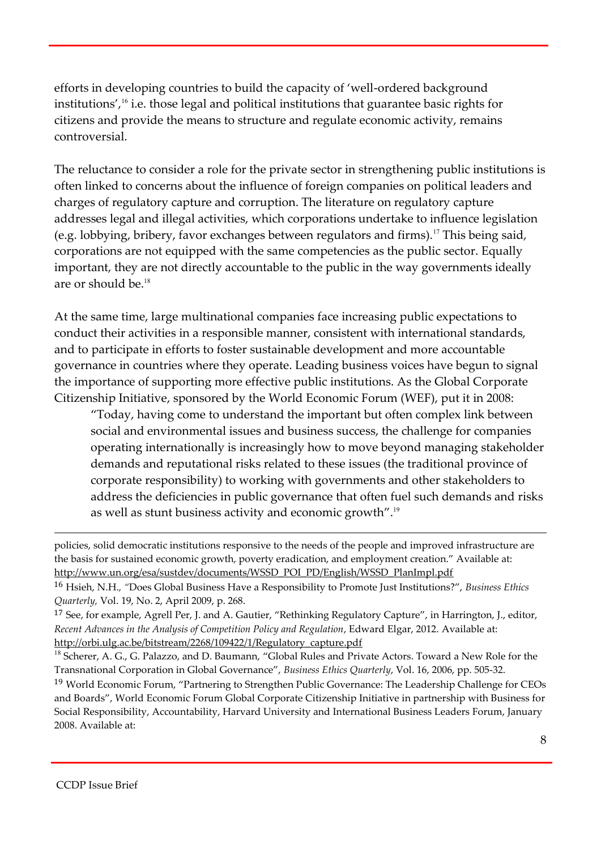efforts in developing countries to build the capacity of 'well-ordered background institutions',<sup>16</sup> i.e. those legal and political institutions that guarantee basic rights for citizens and provide the means to structure and regulate economic activity, remains controversial.

The reluctance to consider a role for the private sector in strengthening public institutions is often linked to concerns about the influence of foreign companies on political leaders and charges of regulatory capture and corruption. The literature on regulatory capture addresses legal and illegal activities, which corporations undertake to influence legislation (e.g. lobbying, bribery, favor exchanges between regulators and firms).<sup>17</sup> This being said, corporations are not equipped with the same competencies as the public sector. Equally important, they are not directly accountable to the public in the way governments ideally are or should be.<sup>18</sup>

At the same time, large multinational companies face increasing public expectations to conduct their activities in a responsible manner, consistent with international standards, and to participate in efforts to foster sustainable development and more accountable governance in countries where they operate. Leading business voices have begun to signal the importance of supporting more effective public institutions. As the Global Corporate Citizenship Initiative, sponsored by the World Economic Forum (WEF), put it in 2008:

"Today, having come to understand the important but often complex link between social and environmental issues and business success, the challenge for companies operating internationally is increasingly how to move beyond managing stakeholder demands and reputational risks related to these issues (the traditional province of corporate responsibility) to working with governments and other stakeholders to address the deficiencies in public governance that often fuel such demands and risks as well as stunt business activity and economic growth". $^{\rm 19}$ 

policies, solid democratic institutions responsive to the needs of the people and improved infrastructure are the basis for sustained economic growth, poverty eradication, and employment creation." Available at: http://www.un.org/esa/sustdev/documents/WSSD\_POI\_PD/English/WSSD\_PlanImpl.pdf

<sup>17</sup> See, for example, Agrell Per, J. and A. Gautier, "Rethinking Regulatory Capture", in Harrington, J., editor, *Recent Advances in the Analysis of Competition Policy and Regulation*, Edward Elgar, 2012. Available at: http://orbi.ulg.ac.be/bitstream/2268/109422/1/Regulatory\_capture.pdf

<sup>18</sup> Scherer, A. G., G. Palazzo, and D. Baumann, "Global Rules and Private Actors. Toward a New Role for the Transnational Corporation in Global Governance", *Business Ethics Quarterly*, Vol. 16, 2006, pp. 505-32. <sup>19</sup> World Economic Forum, "Partnering to Strengthen Public Governance: The Leadership Challenge for CEOs and Boards", World Economic Forum Global Corporate Citizenship Initiative in partnership with Business for Social Responsibility, Accountability, Harvard University and International Business Leaders Forum, January 2008. Available at:

<sup>16</sup> Hsieh, N.H.*, "*Does Global Business Have a Responsibility to Promote Just Institutions?", *Business Ethics Quarterly,* Vol. 19, No. 2, April 2009, p. 268.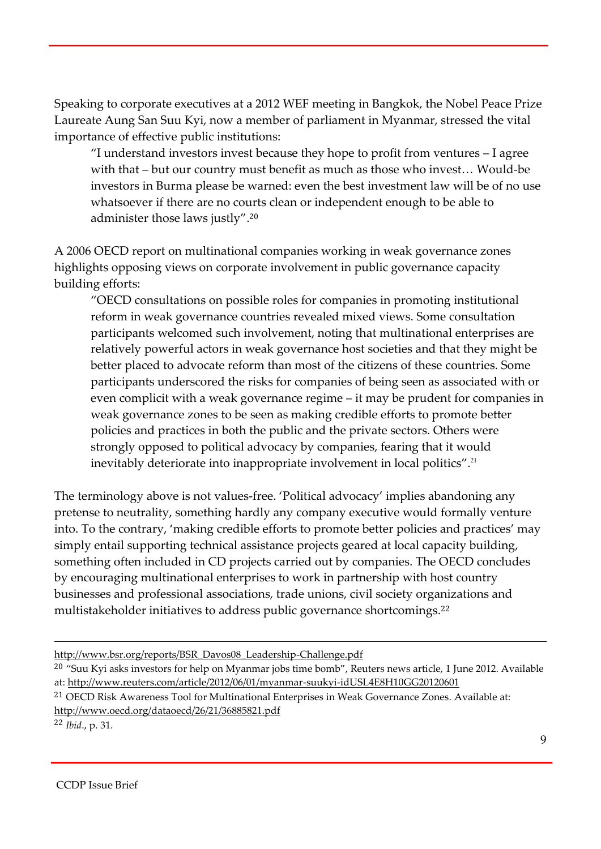Speaking to corporate executives at a 2012 WEF meeting in Bangkok, the Nobel Peace Prize Laureate Aung San Suu Kyi, now a member of parliament in Myanmar, stressed the vital importance of effective public institutions:

"I understand investors invest because they hope to profit from ventures – I agree with that – but our country must benefit as much as those who invest… Would-be investors in Burma please be warned: even the best investment law will be of no use whatsoever if there are no courts clean or independent enough to be able to administer those laws justly". 20

A 2006 OECD report on multinational companies working in weak governance zones highlights opposing views on corporate involvement in public governance capacity building efforts:

"OECD consultations on possible roles for companies in promoting institutional reform in weak governance countries revealed mixed views. Some consultation participants welcomed such involvement, noting that multinational enterprises are relatively powerful actors in weak governance host societies and that they might be better placed to advocate reform than most of the citizens of these countries. Some participants underscored the risks for companies of being seen as associated with or even complicit with a weak governance regime – it may be prudent for companies in weak governance zones to be seen as making credible efforts to promote better policies and practices in both the public and the private sectors. Others were strongly opposed to political advocacy by companies, fearing that it would inevitably deteriorate into inappropriate involvement in local politics".<sup>21</sup>

The terminology above is not values-free. 'Political advocacy' implies abandoning any pretense to neutrality, something hardly any company executive would formally venture into. To the contrary, 'making credible efforts to promote better policies and practices' may simply entail supporting technical assistance projects geared at local capacity building, something often included in CD projects carried out by companies. The OECD concludes by encouraging multinational enterprises to work in partnership with host country businesses and professional associations, trade unions, civil society organizations and multistakeholder initiatives to address public governance shortcomings.<sup>22</sup>

<sup>22</sup> *Ibid*., p. 31.

http://www.bsr.org/reports/BSR\_Davos08\_Leadership-Challenge.pdf

<sup>&</sup>lt;sup>20</sup> "Suu Kyi asks investors for help on Myanmar jobs time bomb", Reuters news article, 1 June 2012. Available at: http://www.reuters.com/article/2012/06/01/myanmar-suukyi-idUSL4E8H10GG20120601

<sup>&</sup>lt;sup>21</sup> OECD Risk Awareness Tool for Multinational Enterprises in Weak Governance Zones. Available at: http://www.oecd.org/dataoecd/26/21/36885821.pdf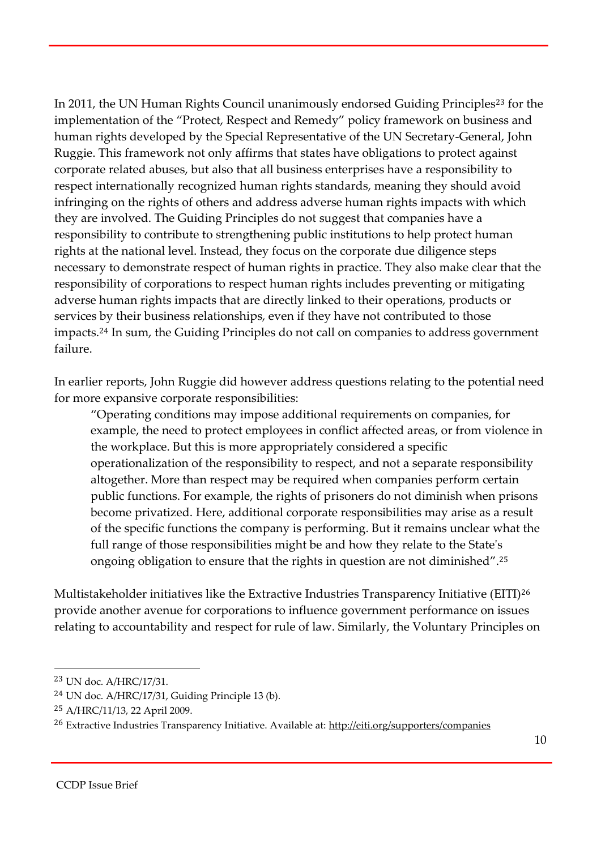In 2011, the UN Human Rights Council unanimously endorsed Guiding Principles<sup>23</sup> for the implementation of the "Protect, Respect and Remedy" policy framework on business and human rights developed by the Special Representative of the UN Secretary-General, John Ruggie. This framework not only affirms that states have obligations to protect against corporate related abuses, but also that all business enterprises have a responsibility to respect internationally recognized human rights standards, meaning they should avoid infringing on the rights of others and address adverse human rights impacts with which they are involved. The Guiding Principles do not suggest that companies have a responsibility to contribute to strengthening public institutions to help protect human rights at the national level. Instead, they focus on the corporate due diligence steps necessary to demonstrate respect of human rights in practice. They also make clear that the responsibility of corporations to respect human rights includes preventing or mitigating adverse human rights impacts that are directly linked to their operations, products or services by their business relationships, even if they have not contributed to those impacts.<sup>24</sup> In sum, the Guiding Principles do not call on companies to address government failure.

In earlier reports, John Ruggie did however address questions relating to the potential need for more expansive corporate responsibilities:

"Operating conditions may impose additional requirements on companies, for example, the need to protect employees in conflict affected areas, or from violence in the workplace. But this is more appropriately considered a specific operationalization of the responsibility to respect, and not a separate responsibility altogether. More than respect may be required when companies perform certain public functions. For example, the rights of prisoners do not diminish when prisons become privatized. Here, additional corporate responsibilities may arise as a result of the specific functions the company is performing. But it remains unclear what the full range of those responsibilities might be and how they relate to the State's ongoing obligation to ensure that the rights in question are not diminished". 25

Multistakeholder initiatives like the Extractive Industries Transparency Initiative (EITI)<sup>26</sup> provide another avenue for corporations to influence government performance on issues relating to accountability and respect for rule of law. Similarly, the Voluntary Principles on

<sup>23</sup> UN doc. A/HRC/17/31.

<sup>24</sup> UN doc. A/HRC/17/31, Guiding Principle 13 (b).

<sup>25</sup> A/HRC/11/13, 22 April 2009.

<sup>&</sup>lt;sup>26</sup> Extractive Industries Transparency Initiative. Available at: http://eiti.org/supporters/companies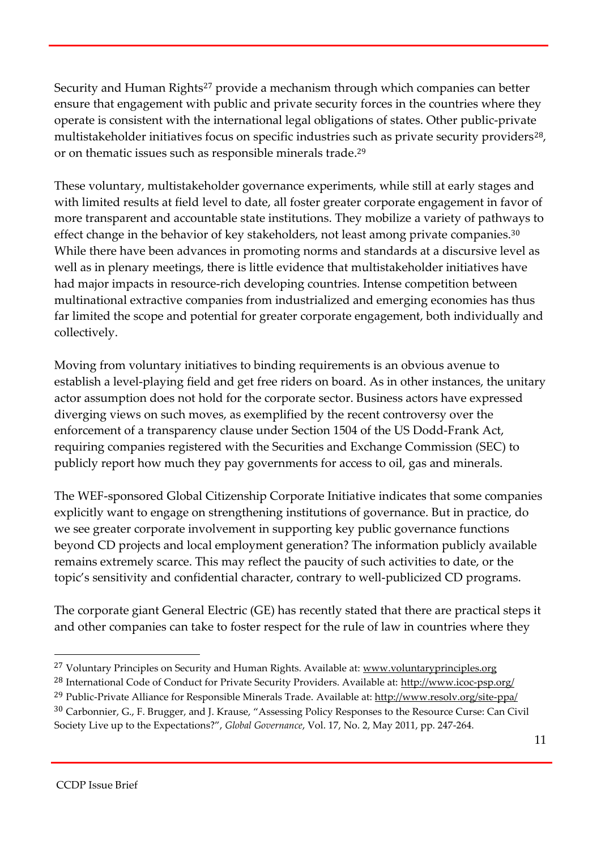Security and Human Rights<sup>27</sup> provide a mechanism through which companies can better ensure that engagement with public and private security forces in the countries where they operate is consistent with the international legal obligations of states. Other public-private multistakeholder initiatives focus on specific industries such as private security providers<sup>28</sup>, or on thematic issues such as responsible minerals trade.<sup>29</sup>

These voluntary, multistakeholder governance experiments, while still at early stages and with limited results at field level to date, all foster greater corporate engagement in favor of more transparent and accountable state institutions. They mobilize a variety of pathways to effect change in the behavior of key stakeholders, not least among private companies.<sup>30</sup> While there have been advances in promoting norms and standards at a discursive level as well as in plenary meetings, there is little evidence that multistakeholder initiatives have had major impacts in resource-rich developing countries. Intense competition between multinational extractive companies from industrialized and emerging economies has thus far limited the scope and potential for greater corporate engagement, both individually and collectively.

Moving from voluntary initiatives to binding requirements is an obvious avenue to establish a level-playing field and get free riders on board. As in other instances, the unitary actor assumption does not hold for the corporate sector. Business actors have expressed diverging views on such moves, as exemplified by the recent controversy over the enforcement of a transparency clause under Section 1504 of the US Dodd-Frank Act, requiring companies registered with the Securities and Exchange Commission (SEC) to publicly report how much they pay governments for access to oil, gas and minerals.

The WEF-sponsored Global Citizenship Corporate Initiative indicates that some companies explicitly want to engage on strengthening institutions of governance. But in practice, do we see greater corporate involvement in supporting key public governance functions beyond CD projects and local employment generation? The information publicly available remains extremely scarce. This may reflect the paucity of such activities to date, or the topic's sensitivity and confidential character, contrary to well-publicized CD programs.

The corporate giant General Electric (GE) has recently stated that there are practical steps it and other companies can take to foster respect for the rule of law in countries where they

<sup>&</sup>lt;sup>27</sup> Voluntary Principles on Security and Human Rights. Available at: www.voluntaryprinciples.org <sup>28</sup> International Code of Conduct for Private Security Providers. Available at: http://www.icoc-psp.org/ <sup>29</sup> Public-Private Alliance for Responsible Minerals Trade. Available at: http://www.resolv.org/site-ppa/ <sup>30</sup> Carbonnier, G., F. Brugger, and J. Krause, "Assessing Policy Responses to the Resource Curse: Can Civil Society Live up to the Expectations?", *Global Governance*, Vol. 17, No. 2, May 2011, pp. 247-264.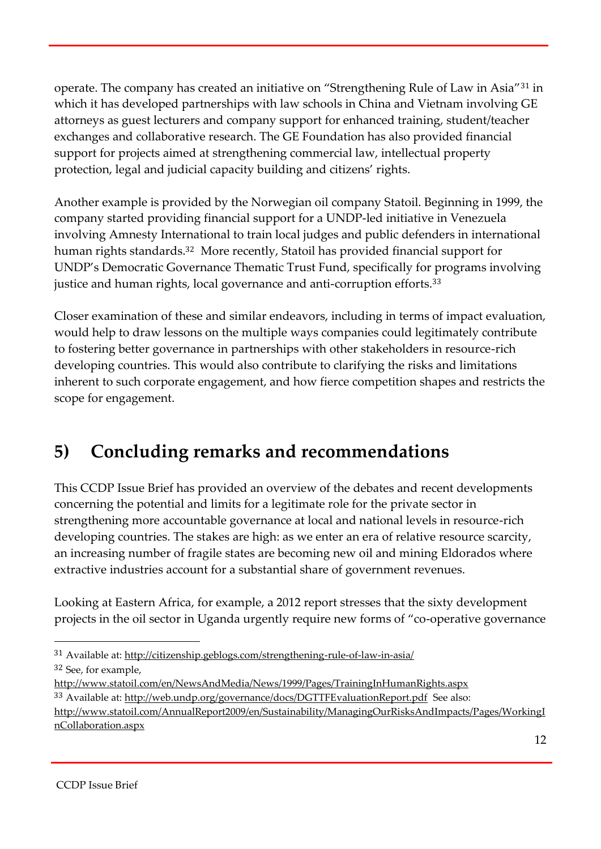operate. The company has created an initiative on "Strengthening Rule of Law in Asia"<sup>31</sup> in which it has developed partnerships with law schools in China and Vietnam involving GE attorneys as guest lecturers and company support for enhanced training, student/teacher exchanges and collaborative research. The GE Foundation has also provided financial support for projects aimed at strengthening commercial law, intellectual property protection, legal and judicial capacity building and citizens' rights.

Another example is provided by the Norwegian oil company Statoil. Beginning in 1999, the company started providing financial support for a UNDP-led initiative in Venezuela involving Amnesty International to train local judges and public defenders in international human rights standards.<sup>32</sup> More recently, Statoil has provided financial support for UNDP's Democratic Governance Thematic Trust Fund, specifically for programs involving justice and human rights, local governance and anti-corruption efforts.<sup>33</sup>

Closer examination of these and similar endeavors, including in terms of impact evaluation, would help to draw lessons on the multiple ways companies could legitimately contribute to fostering better governance in partnerships with other stakeholders in resource-rich developing countries. This would also contribute to clarifying the risks and limitations inherent to such corporate engagement, and how fierce competition shapes and restricts the scope for engagement.

## **5) Concluding remarks and recommendations**

This CCDP Issue Brief has provided an overview of the debates and recent developments concerning the potential and limits for a legitimate role for the private sector in strengthening more accountable governance at local and national levels in resource-rich developing countries. The stakes are high: as we enter an era of relative resource scarcity, an increasing number of fragile states are becoming new oil and mining Eldorados where extractive industries account for a substantial share of government revenues.

Looking at Eastern Africa, for example, a 2012 report stresses that the sixty development projects in the oil sector in Uganda urgently require new forms of "co-operative governance

<sup>31</sup> Available at: http://citizenship.geblogs.com/strengthening-rule-of-law-in-asia/ <sup>32</sup> See, for example,

http://www.statoil.com/en/NewsAndMedia/News/1999/Pages/TrainingInHumanRights.aspx

<sup>&</sup>lt;sup>33</sup> Available at: http://web.undp.org/governance/docs/DGTTFEvaluationReport.pdf See also:

http://www.statoil.com/AnnualReport2009/en/Sustainability/ManagingOurRisksAndImpacts/Pages/WorkingI nCollaboration.aspx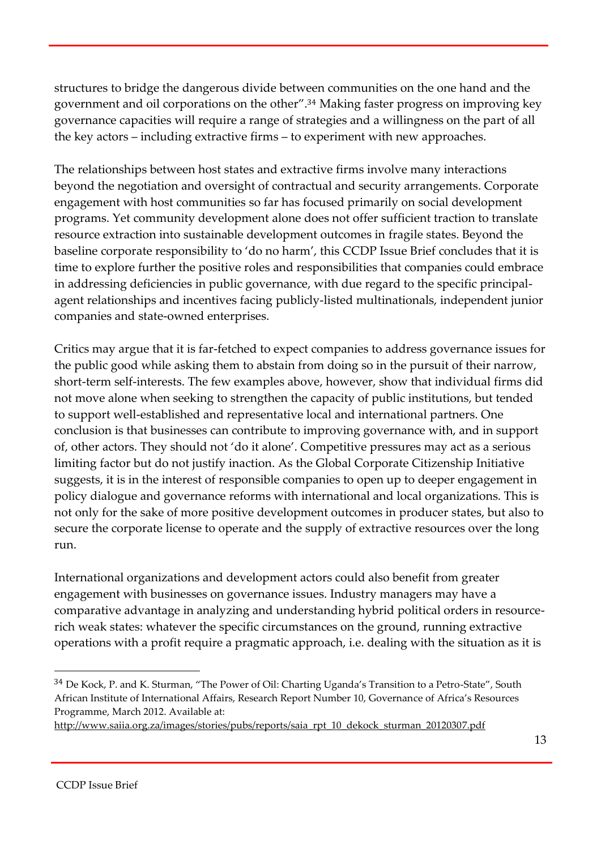structures to bridge the dangerous divide between communities on the one hand and the government and oil corporations on the other". <sup>34</sup> Making faster progress on improving key governance capacities will require a range of strategies and a willingness on the part of all the key actors – including extractive firms – to experiment with new approaches.

The relationships between host states and extractive firms involve many interactions beyond the negotiation and oversight of contractual and security arrangements. Corporate engagement with host communities so far has focused primarily on social development programs. Yet community development alone does not offer sufficient traction to translate resource extraction into sustainable development outcomes in fragile states. Beyond the baseline corporate responsibility to 'do no harm', this CCDP Issue Brief concludes that it is time to explore further the positive roles and responsibilities that companies could embrace in addressing deficiencies in public governance, with due regard to the specific principalagent relationships and incentives facing publicly-listed multinationals, independent junior companies and state-owned enterprises.

Critics may argue that it is far-fetched to expect companies to address governance issues for the public good while asking them to abstain from doing so in the pursuit of their narrow, short-term self-interests. The few examples above, however, show that individual firms did not move alone when seeking to strengthen the capacity of public institutions, but tended to support well-established and representative local and international partners. One conclusion is that businesses can contribute to improving governance with, and in support of, other actors. They should not 'do it alone'. Competitive pressures may act as a serious limiting factor but do not justify inaction. As the Global Corporate Citizenship Initiative suggests, it is in the interest of responsible companies to open up to deeper engagement in policy dialogue and governance reforms with international and local organizations. This is not only for the sake of more positive development outcomes in producer states, but also to secure the corporate license to operate and the supply of extractive resources over the long run.

International organizations and development actors could also benefit from greater engagement with businesses on governance issues. Industry managers may have a comparative advantage in analyzing and understanding hybrid political orders in resourcerich weak states: whatever the specific circumstances on the ground, running extractive operations with a profit require a pragmatic approach, i.e. dealing with the situation as it is

<sup>34</sup> De Kock, P. and K. Sturman, "The Power of Oil: Charting Uganda's Transition to a Petro-State", South African Institute of International Affairs, Research Report Number 10, Governance of Africa's Resources Programme, March 2012. Available at:

http://www.saiia.org.za/images/stories/pubs/reports/saia\_rpt\_10\_dekock\_sturman\_20120307.pdf